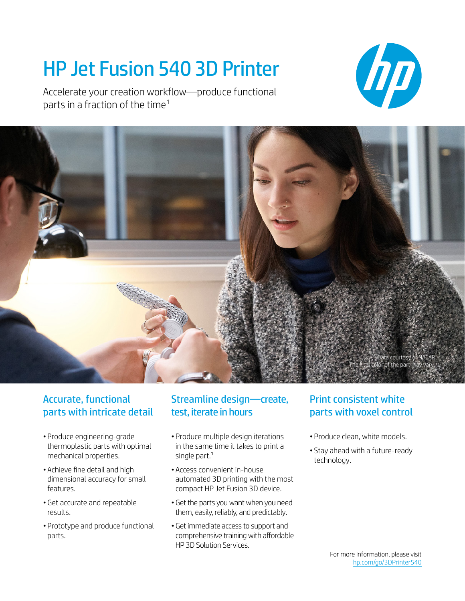# HP Jet Fusion 540 3D Printer

Accelerate your creation workflow—produce functional parts in a fraction of the time<sup>1</sup>





### Accurate, functional parts with intricate detail

- Produce engineering-grade thermoplastic parts with optimal mechanical properties.
- Achieve fine detail and high dimensional accuracy for small features.
- •Get accurate and repeatable results.
- Prototype and produce functional parts.

### Streamline design—create, test, iterate in hours

- Produce multiple design iterations in the same time it takes to print a single part.<sup>1</sup>
- Access convenient in-house automated 3D printing with the most compact HP Jet Fusion 3D device.
- •Get the parts you want when you need them, easily, reliably, and predictably.
- •Get immediate access to support and comprehensive training with affordable HP 3D Solution Services.

### Print consistent white parts with voxel control

- Produce clean, white models.
- Stay ahead with a future-ready technology.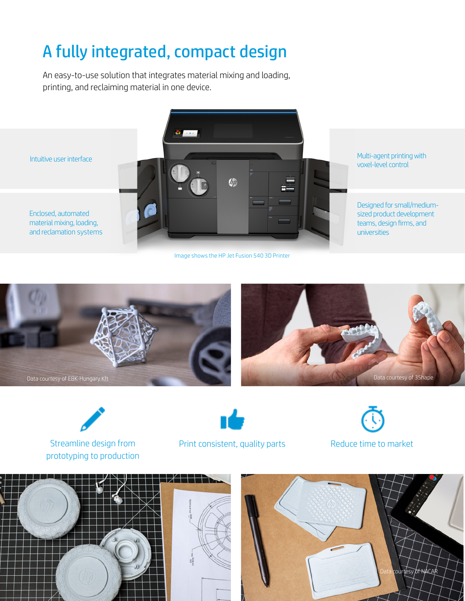## A fully integrated, compact design

An easy-to-use solution that integrates material mixing and loading, printing, and reclaiming material in one device.



Image shows the HP Jet Fusion 540 3D Printer







Streamline design from prototyping to production



Print consistent, quality parts Reduce time to market





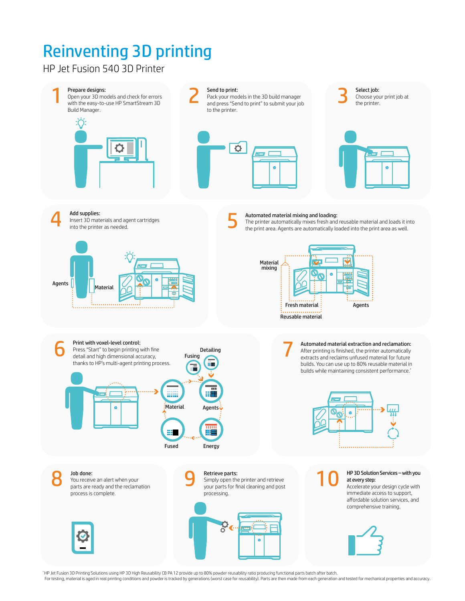# Reinventing 3D printing Reinventing 3D printing

HP Jet Fusion 580/380 Color and 540/340 3D Printers HP Jet Fusion 540 3D Printer



\* HP Jet Fusion 3D Printing Solutions using HP 3D High Reusability CB PA 12 provide up to 80% powder reusability ratio producing functional parts batch after batch.

For testing, material is aged in real printing conditions and powder is tracked by generations (worst case for reusability). Parts are then made from each generation and tested for mechanical properties and accuracy.